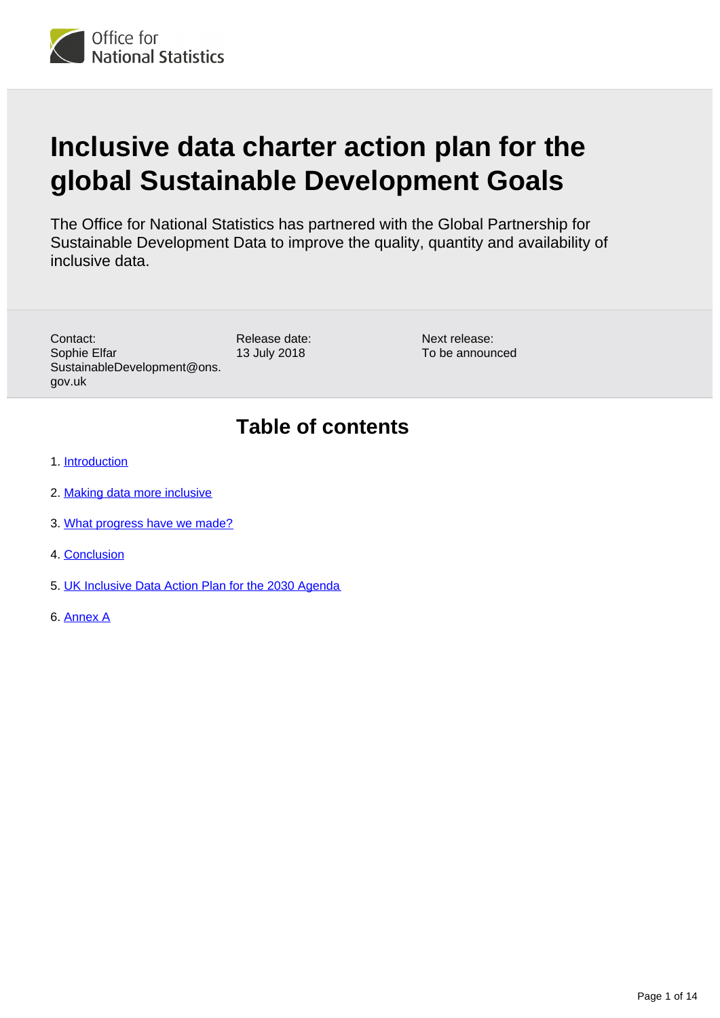

# **Inclusive data charter action plan for the global Sustainable Development Goals**

The Office for National Statistics has partnered with the Global Partnership for Sustainable Development Data to improve the quality, quantity and availability of inclusive data.

Contact: Sophie Elfar SustainableDevelopment@ons. gov.uk

Release date: 13 July 2018

Next release: To be announced

### **Table of contents**

- 1. [Introduction](#page-1-0)
- 2. [Making data more inclusive](#page-2-0)
- 3. [What progress have we made?](#page-4-0)
- 4. [Conclusion](#page-7-0)
- 5. [UK Inclusive Data Action Plan for the 2030 Agenda](#page-7-1)
- 6. [Annex A](#page-12-0)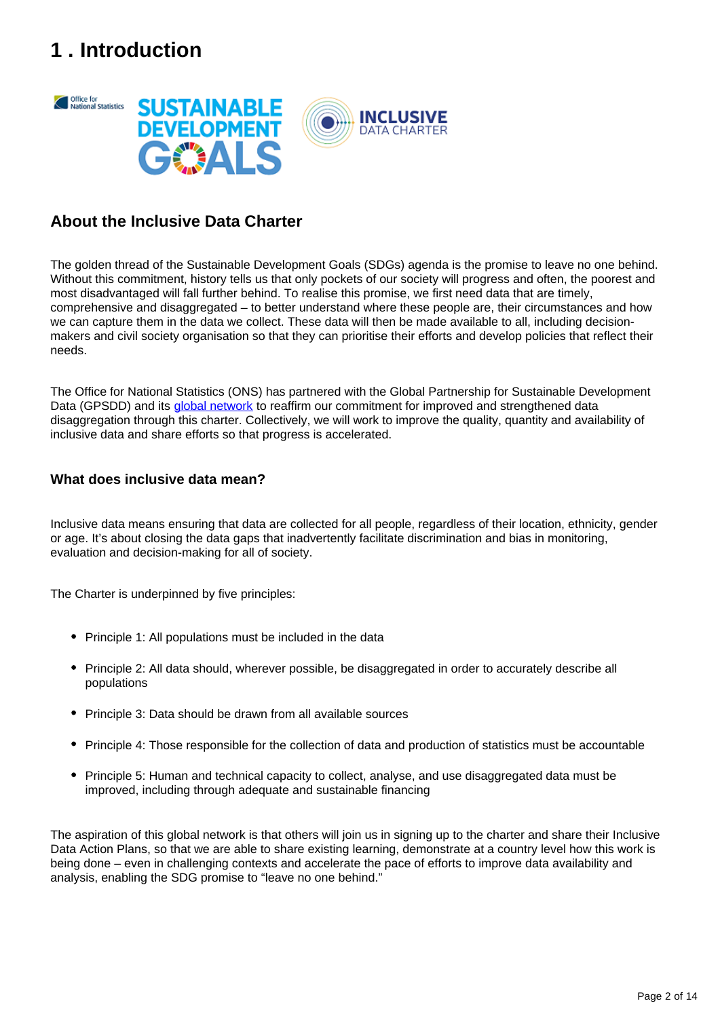# <span id="page-1-0"></span>**1 . Introduction**



#### **About the Inclusive Data Charter**

The golden thread of the Sustainable Development Goals (SDGs) agenda is the promise to leave no one behind. Without this commitment, history tells us that only pockets of our society will progress and often, the poorest and most disadvantaged will fall further behind. To realise this promise, we first need data that are timely, comprehensive and disaggregated – to better understand where these people are, their circumstances and how we can capture them in the data we collect. These data will then be made available to all, including decisionmakers and civil society organisation so that they can prioritise their efforts and develop policies that reflect their needs.

The Office for National Statistics (ONS) has partnered with the Global Partnership for Sustainable Development Data (GPSDD) and its [global network](http://www.data4sdgs.org/initiatives/leave-no-one-behind-data-collaborative) to reaffirm our commitment for improved and strengthened data disaggregation through this charter. Collectively, we will work to improve the quality, quantity and availability of inclusive data and share efforts so that progress is accelerated.

#### **What does inclusive data mean?**

Inclusive data means ensuring that data are collected for all people, regardless of their location, ethnicity, gender or age. It's about closing the data gaps that inadvertently facilitate discrimination and bias in monitoring, evaluation and decision-making for all of society.

The Charter is underpinned by five principles:

- Principle 1: All populations must be included in the data
- Principle 2: All data should, wherever possible, be disaggregated in order to accurately describe all populations
- Principle 3: Data should be drawn from all available sources
- Principle 4: Those responsible for the collection of data and production of statistics must be accountable
- Principle 5: Human and technical capacity to collect, analyse, and use disaggregated data must be improved, including through adequate and sustainable financing

The aspiration of this global network is that others will join us in signing up to the charter and share their Inclusive Data Action Plans, so that we are able to share existing learning, demonstrate at a country level how this work is being done – even in challenging contexts and accelerate the pace of efforts to improve data availability and analysis, enabling the SDG promise to "leave no one behind."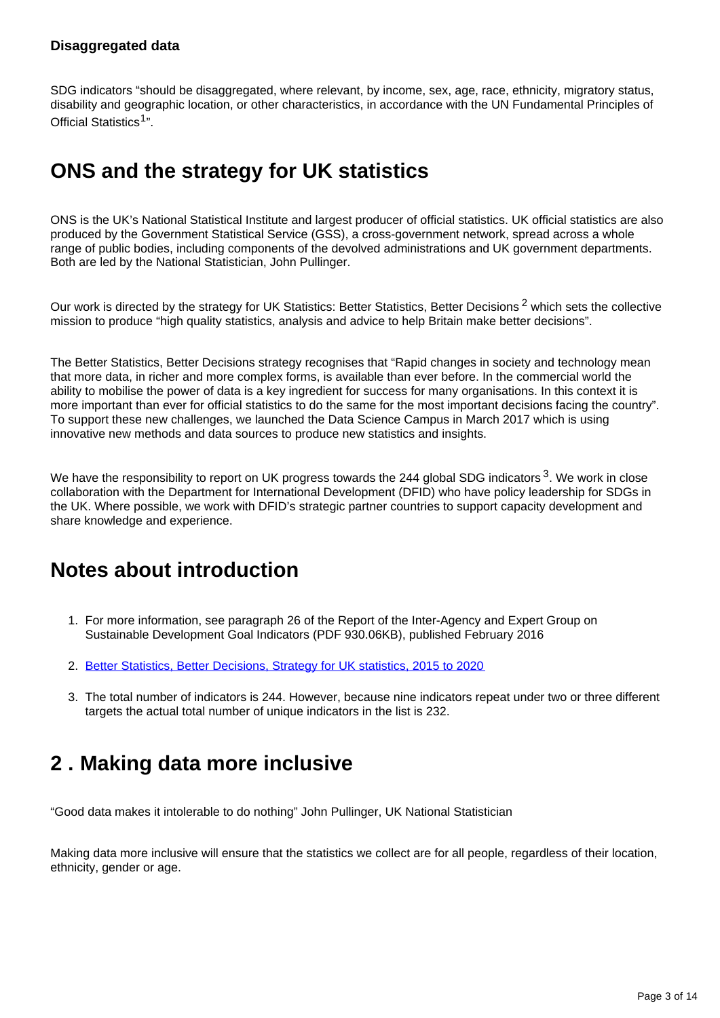#### **Disaggregated data**

SDG indicators "should be disaggregated, where relevant, by income, sex, age, race, ethnicity, migratory status, disability and geographic location, or other characteristics, in accordance with the UN Fundamental Principles of Official Statistics<sup>1</sup>".

#### **ONS and the strategy for UK statistics**

ONS is the UK's National Statistical Institute and largest producer of official statistics. UK official statistics are also produced by the Government Statistical Service (GSS), a cross-government network, spread across a whole range of public bodies, including components of the devolved administrations and UK government departments. Both are led by the National Statistician, John Pullinger.

Our work is directed by the strategy for UK Statistics: Better Statistics, Better Decisions<sup>2</sup> which sets the collective mission to produce "high quality statistics, analysis and advice to help Britain make better decisions".

The Better Statistics, Better Decisions strategy recognises that "Rapid changes in society and technology mean that more data, in richer and more complex forms, is available than ever before. In the commercial world the ability to mobilise the power of data is a key ingredient for success for many organisations. In this context it is more important than ever for official statistics to do the same for the most important decisions facing the country". To support these new challenges, we launched the Data Science Campus in March 2017 which is using innovative new methods and data sources to produce new statistics and insights.

We have the responsibility to report on UK progress towards the 244 global SDG indicators  $3$ . We work in close collaboration with the Department for International Development (DFID) who have policy leadership for SDGs in the UK. Where possible, we work with DFID's strategic partner countries to support capacity development and share knowledge and experience.

#### **Notes about introduction**

- 1. For more information, see paragraph 26 of the Report of the Inter-Agency and Expert Group on Sustainable Development Goal Indicators (PDF 930.06KB), published February 2016
- 2. [Better Statistics, Better Decisions, Strategy for UK statistics, 2015 to 2020](https://gss.civilservice.gov.uk/wp-content/uploads/2012/12/Better-Statistics-Better-Decisions.pdf)
- 3. The total number of indicators is 244. However, because nine indicators repeat under two or three different targets the actual total number of unique indicators in the list is 232.

#### <span id="page-2-0"></span>**2 . Making data more inclusive**

"Good data makes it intolerable to do nothing" John Pullinger, UK National Statistician

Making data more inclusive will ensure that the statistics we collect are for all people, regardless of their location, ethnicity, gender or age.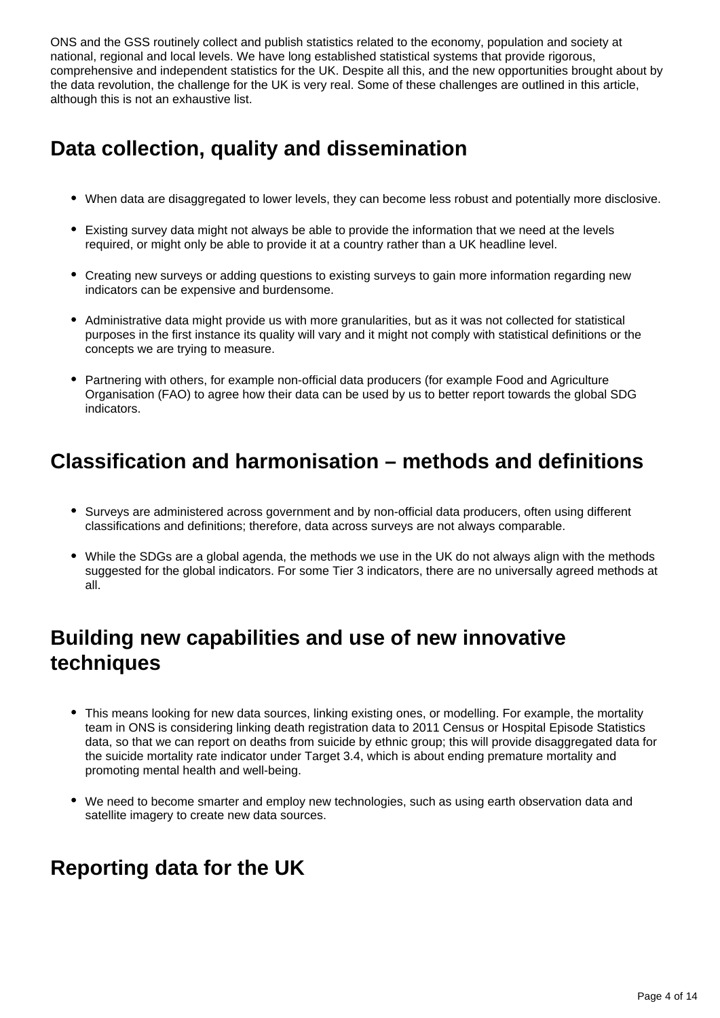ONS and the GSS routinely collect and publish statistics related to the economy, population and society at national, regional and local levels. We have long established statistical systems that provide rigorous, comprehensive and independent statistics for the UK. Despite all this, and the new opportunities brought about by the data revolution, the challenge for the UK is very real. Some of these challenges are outlined in this article, although this is not an exhaustive list.

# **Data collection, quality and dissemination**

- When data are disaggregated to lower levels, they can become less robust and potentially more disclosive.
- Existing survey data might not always be able to provide the information that we need at the levels required, or might only be able to provide it at a country rather than a UK headline level.
- Creating new surveys or adding questions to existing surveys to gain more information regarding new indicators can be expensive and burdensome.
- Administrative data might provide us with more granularities, but as it was not collected for statistical purposes in the first instance its quality will vary and it might not comply with statistical definitions or the concepts we are trying to measure.
- Partnering with others, for example non-official data producers (for example Food and Agriculture Organisation (FAO) to agree how their data can be used by us to better report towards the global SDG indicators.

# **Classification and harmonisation – methods and definitions**

- Surveys are administered across government and by non-official data producers, often using different classifications and definitions; therefore, data across surveys are not always comparable.
- While the SDGs are a global agenda, the methods we use in the UK do not always align with the methods suggested for the global indicators. For some Tier 3 indicators, there are no universally agreed methods at all.

## **Building new capabilities and use of new innovative techniques**

- This means looking for new data sources, linking existing ones, or modelling. For example, the mortality team in ONS is considering linking death registration data to 2011 Census or Hospital Episode Statistics data, so that we can report on deaths from suicide by ethnic group; this will provide disaggregated data for the suicide mortality rate indicator under Target 3.4, which is about ending premature mortality and promoting mental health and well-being.
- We need to become smarter and employ new technologies, such as using earth observation data and satellite imagery to create new data sources.

### **Reporting data for the UK**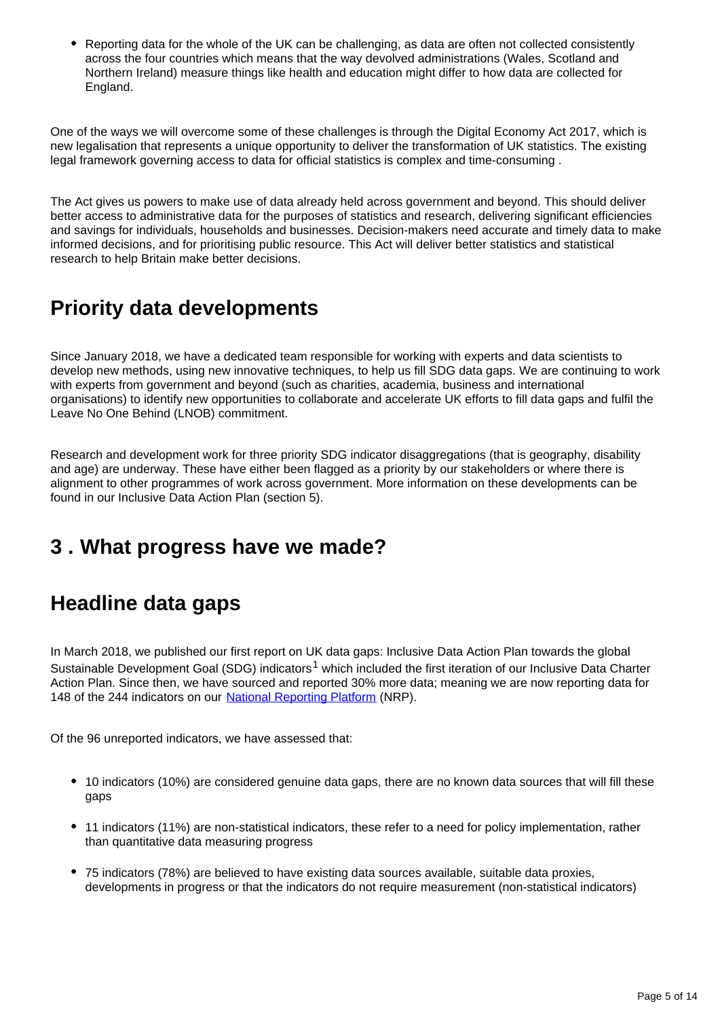Reporting data for the whole of the UK can be challenging, as data are often not collected consistently across the four countries which means that the way devolved administrations (Wales, Scotland and Northern Ireland) measure things like health and education might differ to how data are collected for England.

One of the ways we will overcome some of these challenges is through the Digital Economy Act 2017, which is new legalisation that represents a unique opportunity to deliver the transformation of UK statistics. The existing legal framework governing access to data for official statistics is complex and time-consuming .

The Act gives us powers to make use of data already held across government and beyond. This should deliver better access to administrative data for the purposes of statistics and research, delivering significant efficiencies and savings for individuals, households and businesses. Decision-makers need accurate and timely data to make informed decisions, and for prioritising public resource. This Act will deliver better statistics and statistical research to help Britain make better decisions.

## **Priority data developments**

Since January 2018, we have a dedicated team responsible for working with experts and data scientists to develop new methods, using new innovative techniques, to help us fill SDG data gaps. We are continuing to work with experts from government and beyond (such as charities, academia, business and international organisations) to identify new opportunities to collaborate and accelerate UK efforts to fill data gaps and fulfil the Leave No One Behind (LNOB) commitment.

Research and development work for three priority SDG indicator disaggregations (that is geography, disability and age) are underway. These have either been flagged as a priority by our stakeholders or where there is alignment to other programmes of work across government. More information on these developments can be found in our Inclusive Data Action Plan (section 5).

### <span id="page-4-0"></span>**3 . What progress have we made?**

### **Headline data gaps**

In March 2018, we published our first report on UK data gaps: Inclusive Data Action Plan towards the global Sustainable Development Goal (SDG) indicators<sup>1</sup> which included the first iteration of our Inclusive Data Charter Action Plan. Since then, we have sourced and reported 30% more data; meaning we are now reporting data for 148 of the 244 indicators on our [National Reporting Platform](https://sustainabledevelopment-uk.github.io/) (NRP).

Of the 96 unreported indicators, we have assessed that:

- 10 indicators (10%) are considered genuine data gaps, there are no known data sources that will fill these gaps
- 11 indicators (11%) are non-statistical indicators, these refer to a need for policy implementation, rather than quantitative data measuring progress
- 75 indicators (78%) are believed to have existing data sources available, suitable data proxies, developments in progress or that the indicators do not require measurement (non-statistical indicators)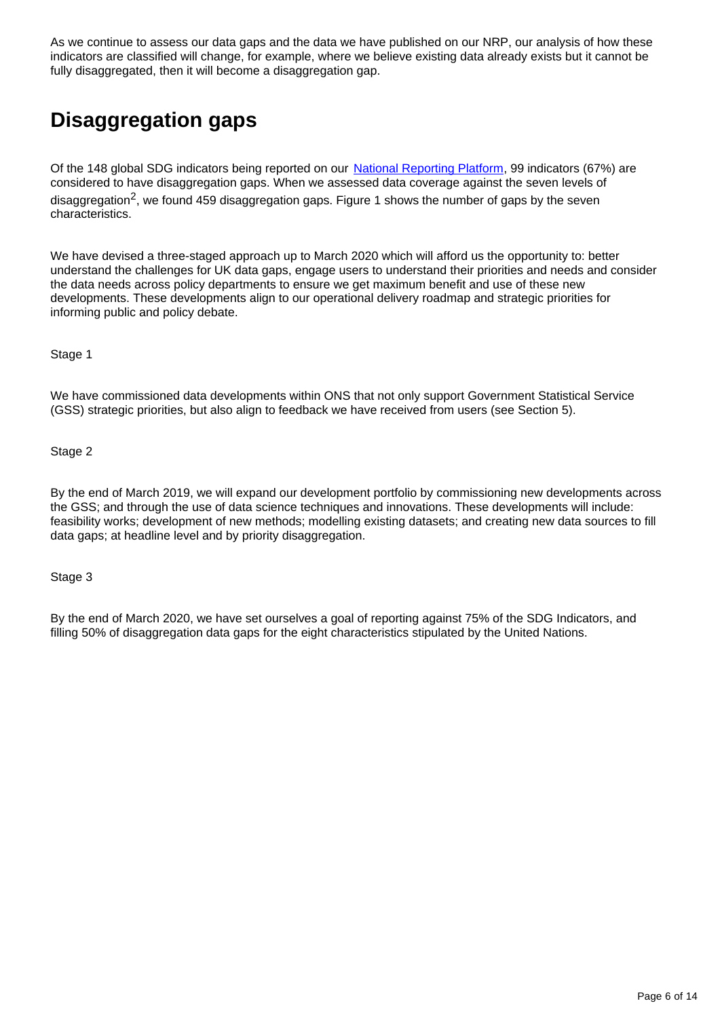As we continue to assess our data gaps and the data we have published on our NRP, our analysis of how these indicators are classified will change, for example, where we believe existing data already exists but it cannot be fully disaggregated, then it will become a disaggregation gap.

# **Disaggregation gaps**

Of the 148 global SDG indicators being reported on our [National Reporting Platform,](https://sustainabledevelopment-uk.github.io/) 99 indicators (67%) are considered to have disaggregation gaps. When we assessed data coverage against the seven levels of disaggregation<sup>2</sup>, we found 459 disaggregation gaps. Figure 1 shows the number of gaps by the seven characteristics.

We have devised a three-staged approach up to March 2020 which will afford us the opportunity to: better understand the challenges for UK data gaps, engage users to understand their priorities and needs and consider the data needs across policy departments to ensure we get maximum benefit and use of these new developments. These developments align to our operational delivery roadmap and strategic priorities for informing public and policy debate.

Stage 1

We have commissioned data developments within ONS that not only support Government Statistical Service (GSS) strategic priorities, but also align to feedback we have received from users (see Section 5).

Stage 2

By the end of March 2019, we will expand our development portfolio by commissioning new developments across the GSS; and through the use of data science techniques and innovations. These developments will include: feasibility works; development of new methods; modelling existing datasets; and creating new data sources to fill data gaps; at headline level and by priority disaggregation.

Stage 3

By the end of March 2020, we have set ourselves a goal of reporting against 75% of the SDG Indicators, and filling 50% of disaggregation data gaps for the eight characteristics stipulated by the United Nations.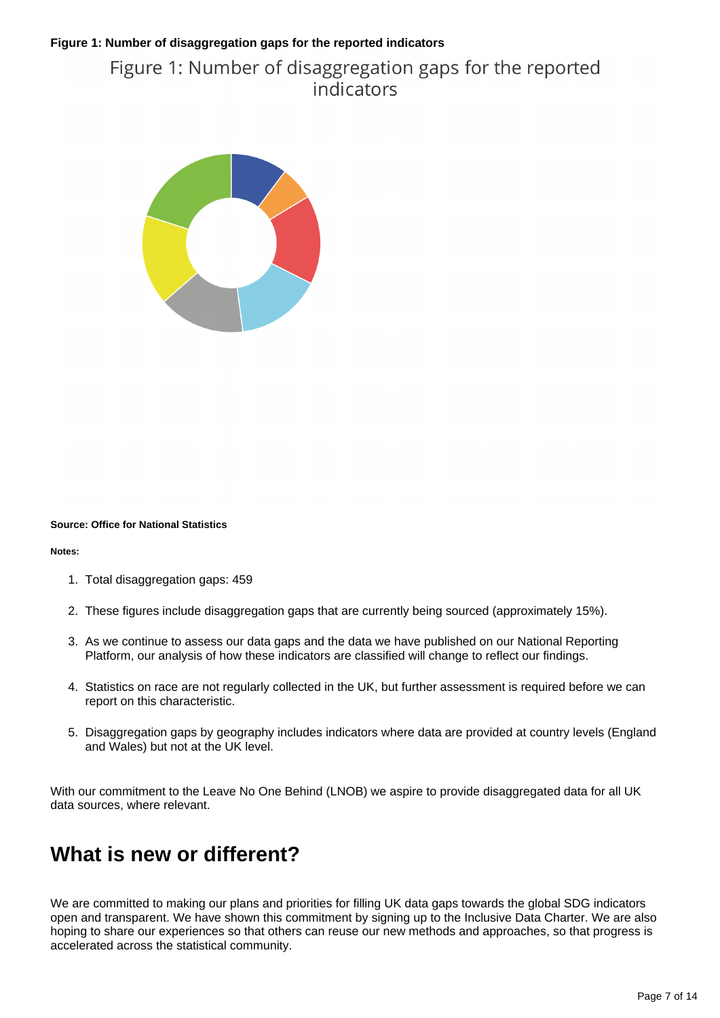#### **Figure 1: Number of disaggregation gaps for the reported indicators**

#### Figure 1: Number of disaggregation gaps for the reported indicators



#### **Source: Office for National Statistics**

#### **Notes:**

- 1. Total disaggregation gaps: 459
- 2. These figures include disaggregation gaps that are currently being sourced (approximately 15%).
- 3. As we continue to assess our data gaps and the data we have published on our National Reporting Platform, our analysis of how these indicators are classified will change to reflect our findings.
- 4. Statistics on race are not regularly collected in the UK, but further assessment is required before we can report on this characteristic.
- 5. Disaggregation gaps by geography includes indicators where data are provided at country levels (England and Wales) but not at the UK level.

With our commitment to the Leave No One Behind (LNOB) we aspire to provide disaggregated data for all UK data sources, where relevant.

#### **What is new or different?**

We are committed to making our plans and priorities for filling UK data gaps towards the global SDG indicators open and transparent. We have shown this commitment by signing up to the Inclusive Data Charter. We are also hoping to share our experiences so that others can reuse our new methods and approaches, so that progress is accelerated across the statistical community.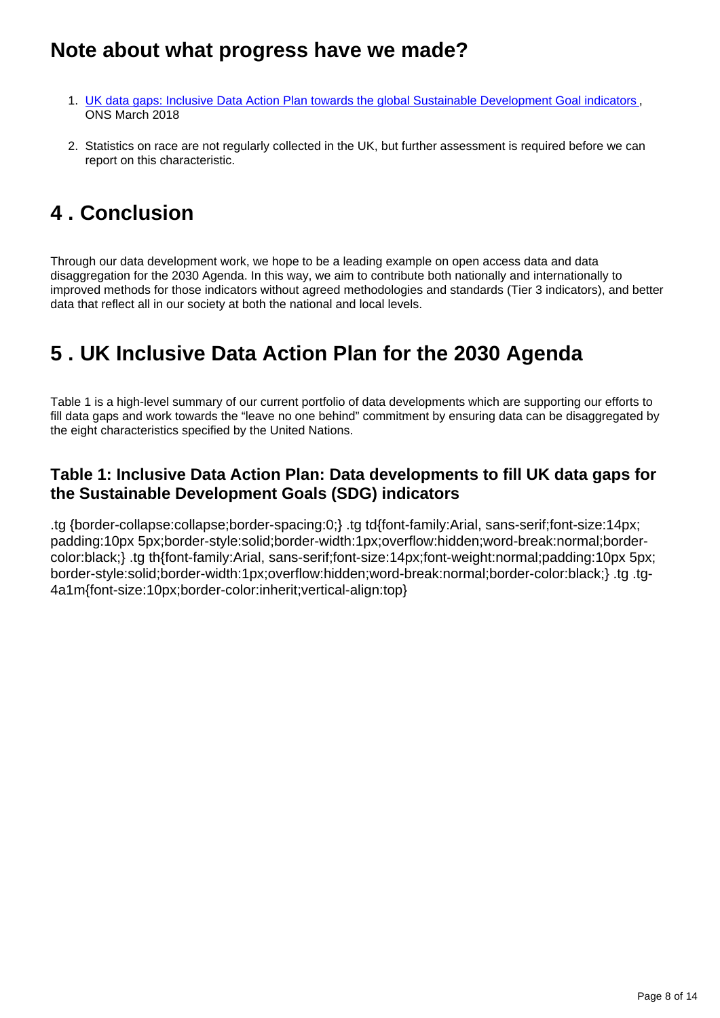#### **Note about what progress have we made?**

- 1. [UK data gaps: Inclusive Data Action Plan towards the global Sustainable Development Goal indicators](https://www.ons.gov.uk/economy/environmentalaccounts/articles/ukdatagapsinclusivedataactionplantowardstheglobalsustainabledevelopmentgoalindicators/2018-03-19), ONS March 2018
- 2. Statistics on race are not regularly collected in the UK, but further assessment is required before we can report on this characteristic.

# <span id="page-7-0"></span>**4 . Conclusion**

Through our data development work, we hope to be a leading example on open access data and data disaggregation for the 2030 Agenda. In this way, we aim to contribute both nationally and internationally to improved methods for those indicators without agreed methodologies and standards (Tier 3 indicators), and better data that reflect all in our society at both the national and local levels.

## <span id="page-7-1"></span>**5 . UK Inclusive Data Action Plan for the 2030 Agenda**

Table 1 is a high-level summary of our current portfolio of data developments which are supporting our efforts to fill data gaps and work towards the "leave no one behind" commitment by ensuring data can be disaggregated by the eight characteristics specified by the United Nations.

#### **Table 1: Inclusive Data Action Plan: Data developments to fill UK data gaps for the Sustainable Development Goals (SDG) indicators**

.tg {border-collapse:collapse;border-spacing:0;} .tg td{font-family:Arial, sans-serif;font-size:14px; padding:10px 5px;border-style:solid;border-width:1px;overflow:hidden;word-break:normal;bordercolor:black;} .tg th{font-family:Arial, sans-serif;font-size:14px;font-weight:normal;padding:10px 5px; border-style:solid;border-width:1px;overflow:hidden;word-break:normal;border-color:black;} .tg .tg-4a1m{font-size:10px;border-color:inherit;vertical-align:top}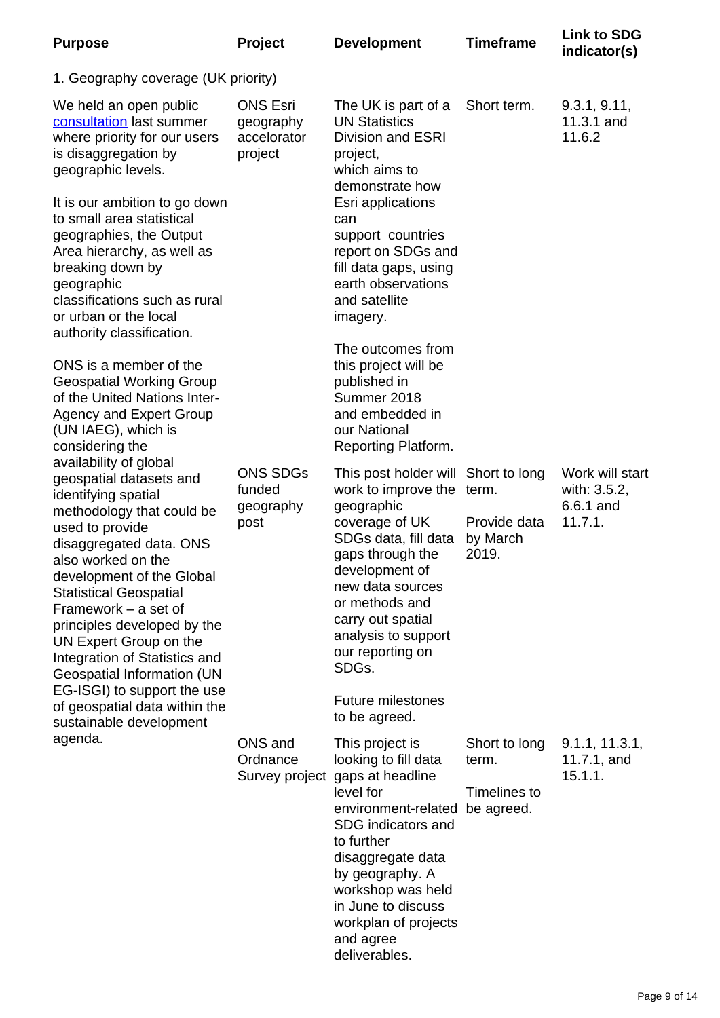| <b>Purpose</b>                                                                                                                                                                                                                                                                                                                                                                                                                                                                                                                                                                                                                                                           | Project                                                | <b>Development</b>                                                                                                                                                                                                                                                                                                         | <b>Timeframe</b>                                     | <b>Link to SDG</b><br>indicator(s)                      |
|--------------------------------------------------------------------------------------------------------------------------------------------------------------------------------------------------------------------------------------------------------------------------------------------------------------------------------------------------------------------------------------------------------------------------------------------------------------------------------------------------------------------------------------------------------------------------------------------------------------------------------------------------------------------------|--------------------------------------------------------|----------------------------------------------------------------------------------------------------------------------------------------------------------------------------------------------------------------------------------------------------------------------------------------------------------------------------|------------------------------------------------------|---------------------------------------------------------|
| 1. Geography coverage (UK priority)                                                                                                                                                                                                                                                                                                                                                                                                                                                                                                                                                                                                                                      |                                                        |                                                                                                                                                                                                                                                                                                                            |                                                      |                                                         |
| We held an open public<br>consultation last summer<br>where priority for our users<br>is disaggregation by<br>geographic levels.                                                                                                                                                                                                                                                                                                                                                                                                                                                                                                                                         | <b>ONS Esri</b><br>geography<br>accelorator<br>project | The UK is part of a<br><b>UN Statistics</b><br><b>Division and ESRI</b><br>project,<br>which aims to<br>demonstrate how<br>Esri applications<br>can<br>support countries<br>report on SDGs and<br>fill data gaps, using<br>earth observations<br>and satellite<br>imagery.                                                 | Short term.                                          | 9.3.1, 9.11,<br>11.3.1 and<br>11.6.2                    |
| It is our ambition to go down<br>to small area statistical<br>geographies, the Output<br>Area hierarchy, as well as<br>breaking down by<br>geographic<br>classifications such as rural<br>or urban or the local<br>authority classification.                                                                                                                                                                                                                                                                                                                                                                                                                             |                                                        |                                                                                                                                                                                                                                                                                                                            |                                                      |                                                         |
| ONS is a member of the<br><b>Geospatial Working Group</b><br>of the United Nations Inter-<br><b>Agency and Expert Group</b><br>(UN IAEG), which is<br>considering the<br>availability of global<br>geospatial datasets and<br>identifying spatial<br>methodology that could be<br>used to provide<br>disaggregated data. ONS<br>also worked on the<br>development of the Global<br><b>Statistical Geospatial</b><br>Framework $-$ a set of<br>principles developed by the<br>UN Expert Group on the<br>Integration of Statistics and<br>Geospatial Information (UN<br>EG-ISGI) to support the use<br>of geospatial data within the<br>sustainable development<br>agenda. |                                                        | The outcomes from<br>this project will be<br>published in<br>Summer 2018<br>and embedded in<br>our National<br>Reporting Platform.                                                                                                                                                                                         |                                                      |                                                         |
|                                                                                                                                                                                                                                                                                                                                                                                                                                                                                                                                                                                                                                                                          | <b>ONS SDGs</b><br>funded<br>geography<br>post         | This post holder will Short to long<br>work to improve the term.<br>geographic<br>coverage of UK<br>SDGs data, fill data<br>gaps through the<br>development of<br>new data sources<br>or methods and<br>carry out spatial<br>analysis to support<br>our reporting on<br>SDGs.<br><b>Future milestones</b><br>to be agreed. | Provide data<br>by March<br>2019.                    | Work will start<br>with: 3.5.2,<br>6.6.1 and<br>11.7.1. |
|                                                                                                                                                                                                                                                                                                                                                                                                                                                                                                                                                                                                                                                                          | ONS and<br>Ordnance                                    | This project is<br>looking to fill data<br>Survey project gaps at headline<br>level for<br>environment-related<br>SDG indicators and<br>to further<br>disaggregate data<br>by geography. A<br>workshop was held<br>in June to discuss<br>workplan of projects<br>and agree<br>deliverables.                                | Short to long<br>term.<br>Timelines to<br>be agreed. | 9.1.1, 11.3.1,<br>11.7.1, and<br>15.1.1.                |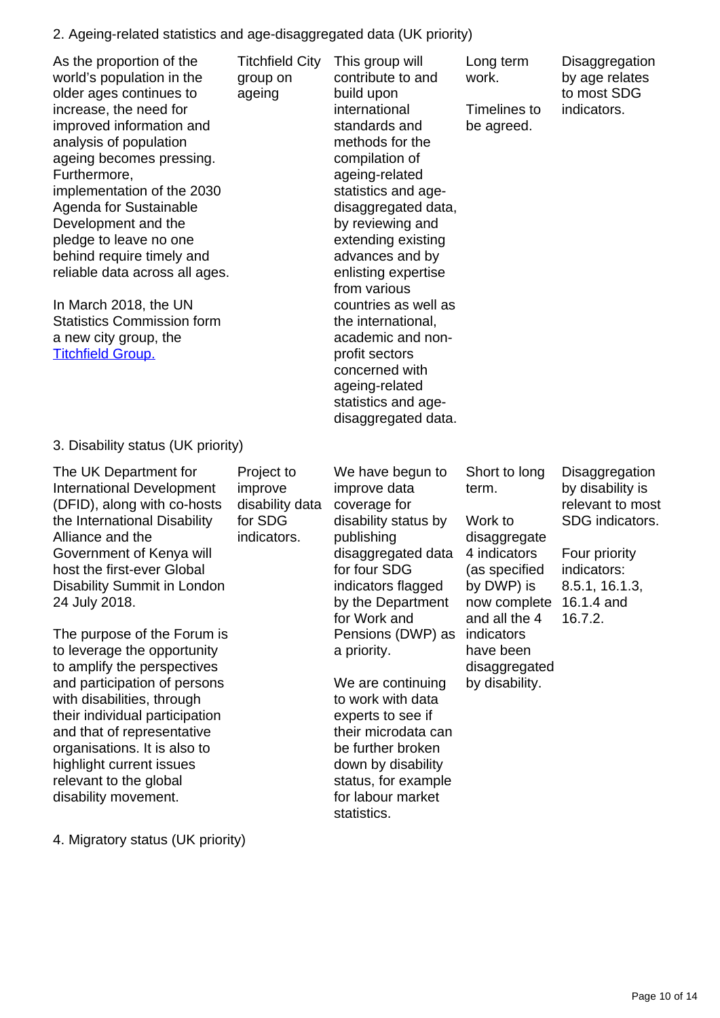#### 2. Ageing-related statistics and age-disaggregated data (UK priority)

| As the proportion of the<br>world's population in the<br>older ages continues to<br>increase, the need for<br>improved information and<br>analysis of population<br>ageing becomes pressing.<br>Furthermore,<br>implementation of the 2030<br>Agenda for Sustainable<br>Development and the<br>pledge to leave no one<br>behind require timely and<br>reliable data across all ages.<br>In March 2018, the UN<br><b>Statistics Commission form</b><br>a new city group, the<br><b>Titchfield Group.</b>                                                                                         | <b>Titchfield City</b><br>group on<br>ageing                       | This group will<br>contribute to and<br>build upon<br>international<br>standards and<br>methods for the<br>compilation of<br>ageing-related<br>statistics and age-<br>disaggregated data,<br>by reviewing and<br>extending existing<br>advances and by<br>enlisting expertise<br>from various<br>countries as well as<br>the international,<br>academic and non-<br>profit sectors<br>concerned with<br>ageing-related<br>statistics and age-<br>disaggregated data. | Long term<br>work.<br>Timelines to<br>be agreed.                                                                                                                                                | Disaggregation<br>by age relates<br>to most SDG<br>indicators.                                                                                       |
|-------------------------------------------------------------------------------------------------------------------------------------------------------------------------------------------------------------------------------------------------------------------------------------------------------------------------------------------------------------------------------------------------------------------------------------------------------------------------------------------------------------------------------------------------------------------------------------------------|--------------------------------------------------------------------|----------------------------------------------------------------------------------------------------------------------------------------------------------------------------------------------------------------------------------------------------------------------------------------------------------------------------------------------------------------------------------------------------------------------------------------------------------------------|-------------------------------------------------------------------------------------------------------------------------------------------------------------------------------------------------|------------------------------------------------------------------------------------------------------------------------------------------------------|
| 3. Disability status (UK priority)                                                                                                                                                                                                                                                                                                                                                                                                                                                                                                                                                              |                                                                    |                                                                                                                                                                                                                                                                                                                                                                                                                                                                      |                                                                                                                                                                                                 |                                                                                                                                                      |
| The UK Department for<br><b>International Development</b><br>(DFID), along with co-hosts<br>the International Disability<br>Alliance and the<br>Government of Kenya will<br>host the first-ever Global<br>Disability Summit in London<br>24 July 2018.<br>The purpose of the Forum is<br>to leverage the opportunity<br>to amplify the perspectives<br>and participation of persons<br>with disabilities, through<br>their individual participation<br>and that of representative<br>organisations. It is also to<br>highlight current issues<br>relevant to the global<br>disability movement. | Project to<br>improve<br>disability data<br>for SDG<br>indicators. | We have begun to<br>improve data<br>coverage for<br>disability status by<br>publishing<br>disaggregated data<br>for four SDG<br>indicators flagged<br>by the Department<br>for Work and<br>Pensions (DWP) as<br>a priority.<br>We are continuing<br>to work with data<br>experts to see if<br>their microdata can<br>be further broken<br>down by disability<br>status, for example<br>for labour market<br>statistics.                                              | Short to long<br>term.<br>Work to<br>disaggregate<br>4 indicators<br>(as specified<br>by DWP) is<br>now complete<br>and all the 4<br>indicators<br>have been<br>disaggregated<br>by disability. | Disaggregation<br>by disability is<br>relevant to most<br>SDG indicators.<br>Four priority<br>indicators:<br>8.5.1, 16.1.3,<br>16.1.4 and<br>16.7.2. |

4. Migratory status (UK priority)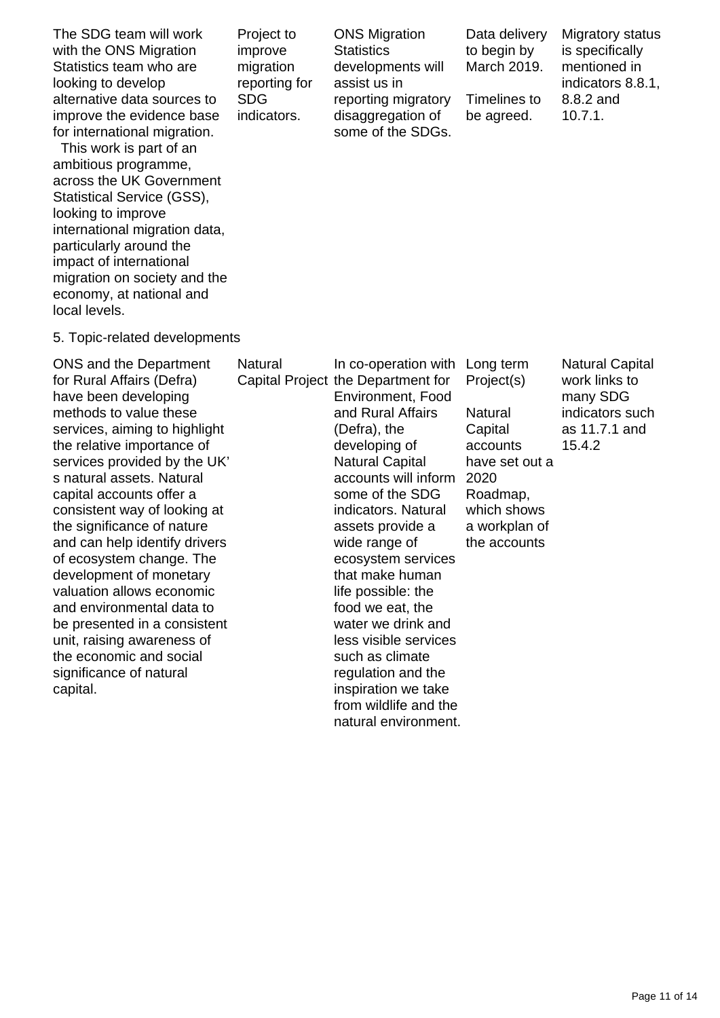The SDG team will work with the ONS Migration Statistics team who are looking to develop alternative data sources to improve the evidence base for international migration.

 This work is part of an ambitious programme, across the UK Government Statistical Service (GSS), looking to improve international migration data, particularly around the impact of international migration on society and the economy, at national and local levels.

5. Topic-related developments

ONS and the Department for Rural have bee methods services, the relativ services s natural capital ac consister the signifi and can h of ecosys developm valuation and envir be preser unit, raisi the econd significan capital.

Project to improve migration reporting for SDG indicators.

ONS Migration **Statistics** developments will assist us in reporting migratory disaggregation of some of the SDGs. Data delivery to begin by March 2019.

Timelines to be agreed.

Migratory status is specifically mentioned in indicators 8.8.1, 8.8.2 and 10.7.1.

such

| I the Department      | Natural | In co-operation with Long term     |                | <b>Natural Capital</b> |
|-----------------------|---------|------------------------------------|----------------|------------------------|
| Affairs (Defra)       |         | Capital Project the Department for | Project(s)     | work links to          |
| n developing          |         | Environment, Food                  |                | many SDG               |
| to value these        |         | and Rural Affairs                  | Natural        | indicators such        |
| aiming to highlight   |         | (Defra), the                       | Capital        | as 11.7.1 and          |
| ve importance of      |         | developing of                      | accounts       | 15.4.2                 |
| provided by the UK'   |         | Natural Capital                    | have set out a |                        |
| assets. Natural       |         | accounts will inform               | 2020           |                        |
| ccounts offer a       |         | some of the SDG                    | Roadmap,       |                        |
| nt way of looking at  |         | indicators. Natural                | which shows    |                        |
| icance of nature      |         | assets provide a                   | a workplan of  |                        |
| help identify drivers |         | wide range of                      | the accounts   |                        |
| stem change. The      |         | ecosystem services                 |                |                        |
| nent of monetary      |         | that make human                    |                |                        |
| allows economic       |         | life possible: the                 |                |                        |
| onmental data to      |         | food we eat, the                   |                |                        |
| nted in a consistent  |         | water we drink and                 |                |                        |
| ng awareness of       |         | less visible services              |                |                        |
| omic and social       |         | such as climate                    |                |                        |
| ice of natural        |         | regulation and the                 |                |                        |
|                       |         | inspiration we take                |                |                        |
|                       |         | from wildlife and the              |                |                        |

natural environment.

Page 11 of 14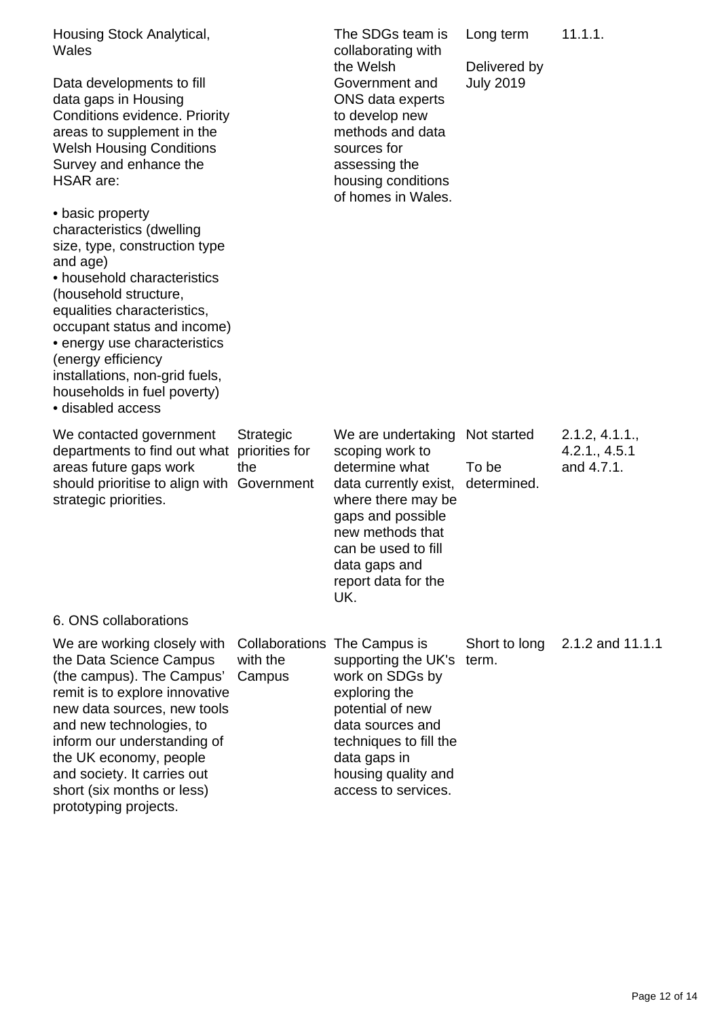| Housing Stock Analytical,<br>Wales<br>Data developments to fill<br>data gaps in Housing<br><b>Conditions evidence. Priority</b><br>areas to supplement in the<br><b>Welsh Housing Conditions</b><br>Survey and enhance the<br><b>HSAR</b> are:<br>• basic property<br>characteristics (dwelling<br>size, type, construction type<br>and age)<br>• household characteristics<br>(household structure,<br>equalities characteristics,<br>occupant status and income)<br>• energy use characteristics<br>(energy efficiency<br>installations, non-grid fuels,<br>households in fuel poverty)<br>• disabled access |                                    | The SDGs team is<br>collaborating with<br>the Welsh<br>Government and<br>ONS data experts<br>to develop new<br>methods and data<br>sources for<br>assessing the<br>housing conditions<br>of homes in Wales.           | Long term<br>Delivered by<br><b>July 2019</b> | 11.1.1.                                       |
|----------------------------------------------------------------------------------------------------------------------------------------------------------------------------------------------------------------------------------------------------------------------------------------------------------------------------------------------------------------------------------------------------------------------------------------------------------------------------------------------------------------------------------------------------------------------------------------------------------------|------------------------------------|-----------------------------------------------------------------------------------------------------------------------------------------------------------------------------------------------------------------------|-----------------------------------------------|-----------------------------------------------|
| We contacted government<br>departments to find out what<br>areas future gaps work<br>should prioritise to align with Government<br>strategic priorities.                                                                                                                                                                                                                                                                                                                                                                                                                                                       | Strategic<br>priorities for<br>the | We are undertaking<br>scoping work to<br>determine what<br>data currently exist,<br>where there may be<br>gaps and possible<br>new methods that<br>can be used to fill<br>data gaps and<br>report data for the<br>UK. | Not started<br>To be<br>determined.           | 2.1.2, 4.1.1.,<br>4.2.1., 4.5.1<br>and 4.7.1. |
| 6. ONS collaborations                                                                                                                                                                                                                                                                                                                                                                                                                                                                                                                                                                                          |                                    |                                                                                                                                                                                                                       |                                               |                                               |
| We are working closely with<br>the Data Science Campus<br>(the campus). The Campus'<br>remit is to explore innovative<br>new data sources, new tools<br>and new technologies, to<br>inform our understanding of<br>the UK economy, people<br>and society. It carries out                                                                                                                                                                                                                                                                                                                                       | with the<br>Campus                 | Collaborations The Campus is<br>supporting the UK's<br>work on SDGs by<br>exploring the<br>potential of new<br>data sources and<br>techniques to fill the<br>data gaps in<br>housing quality and                      | Short to long<br>term.                        | 2.1.2 and 11.1.1                              |

access to services.

short (six months or less) prototyping projects.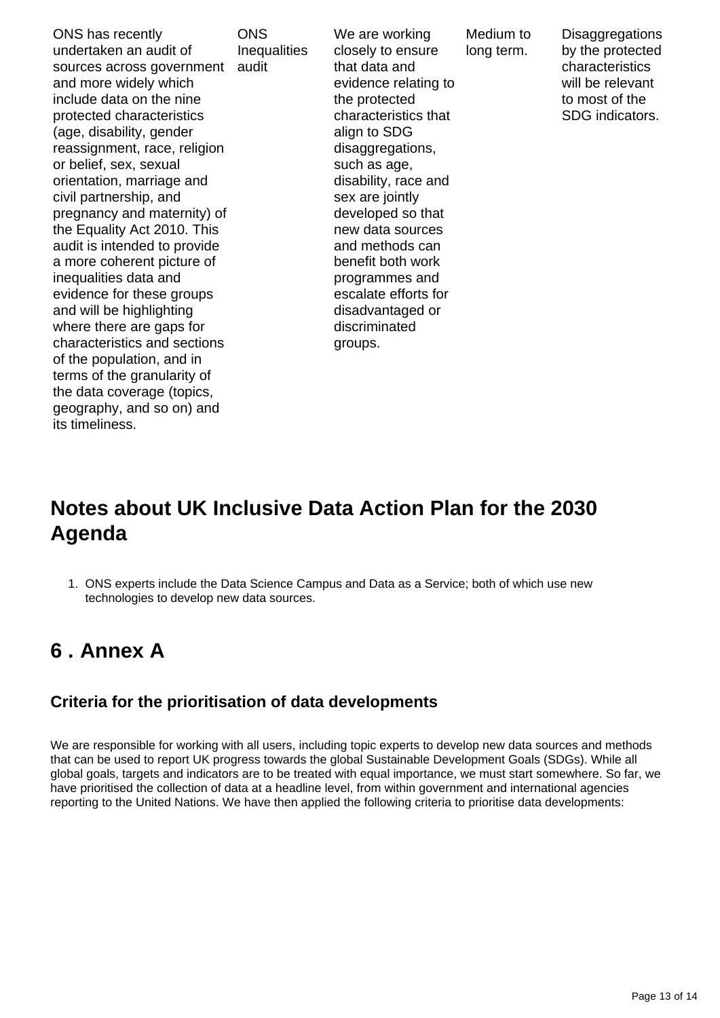ONS has recently undertaken an audit of sources across government and more widely which include data on the nine protected characteristics (age, disability, gender reassignment, race, religion or belief, sex, sexual orientation, marriage and civil partnership, and pregnancy and maternity) of the Equality Act 2010. This audit is intended to provide a more coherent picture of inequalities data and evidence for these groups and will be highlighting where there are gaps for characteristics and sections of the population, and in terms of the granularity of the data coverage (topics, geography, and so on) and its timeliness. audit

**ONS Inequalities**  We are working closely to ensure that data and evidence relating to the protected characteristics that align to SDG disaggregations, such as age, disability, race and sex are jointly developed so that new data sources and methods can benefit both work programmes and escalate efforts for disadvantaged or discriminated groups.

Medium to long term.

**Disaggregations** by the protected characteristics will be relevant to most of the SDG indicators.

## **Notes about UK Inclusive Data Action Plan for the 2030 Agenda**

1. ONS experts include the Data Science Campus and Data as a Service; both of which use new technologies to develop new data sources.

# <span id="page-12-0"></span>**6 . Annex A**

#### **Criteria for the prioritisation of data developments**

We are responsible for working with all users, including topic experts to develop new data sources and methods that can be used to report UK progress towards the global Sustainable Development Goals (SDGs). While all global goals, targets and indicators are to be treated with equal importance, we must start somewhere. So far, we have prioritised the collection of data at a headline level, from within government and international agencies reporting to the United Nations. We have then applied the following criteria to prioritise data developments: